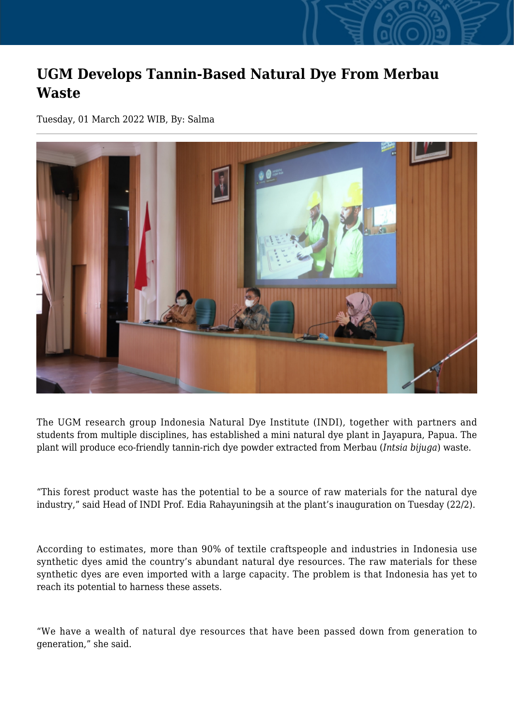## **UGM Develops Tannin-Based Natural Dye From Merbau Waste**

Tuesday, 01 March 2022 WIB, By: Salma



The UGM research group Indonesia Natural Dye Institute (INDI), together with partners and students from multiple disciplines, has established a mini natural dye plant in Jayapura, Papua. The plant will produce eco-friendly tannin-rich dye powder extracted from Merbau (*Intsia bijuga*) waste.

"This forest product waste has the potential to be a source of raw materials for the natural dye industry," said Head of INDI Prof. Edia Rahayuningsih at the plant's inauguration on Tuesday (22/2).

According to estimates, more than 90% of textile craftspeople and industries in Indonesia use synthetic dyes amid the country's abundant natural dye resources. The raw materials for these synthetic dyes are even imported with a large capacity. The problem is that Indonesia has yet to reach its potential to harness these assets.

"We have a wealth of natural dye resources that have been passed down from generation to generation," she said.